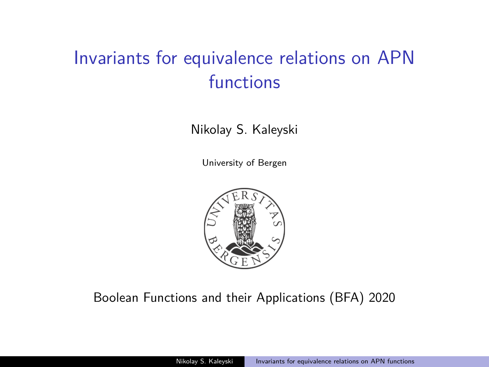## <span id="page-0-0"></span>Invariants for equivalence relations on APN functions

Nikolay S. Kaleyski

University of Bergen



#### Boolean Functions and their Applications (BFA) 2020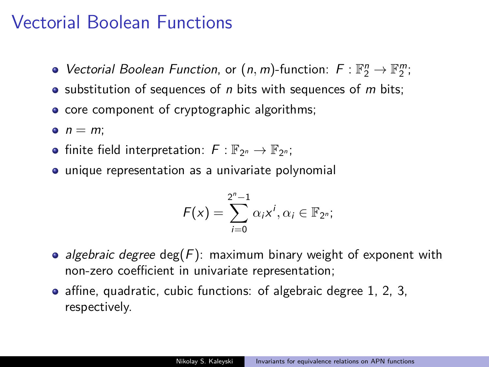#### Vectorial Boolean Functions

- Vectorial Boolean Function, or  $(n, m)$ -function:  $F: \mathbb{F}_2^n \to \mathbb{F}_2^m$ ;
- $\bullet$  substitution of sequences of n bits with sequences of m bits;
- core component of cryptographic algorithms;
- $n = m$
- finite field interpretation:  $F: \mathbb{F}_{2^n} \to \mathbb{F}_{2^n}$ ;
- unique representation as a univariate polynomial

$$
F(x)=\sum_{i=0}^{2^n-1}\alpha_ix^i,\alpha_i\in\mathbb{F}_{2^n};
$$

- algebraic degree deg( $F$ ): maximum binary weight of exponent with non-zero coefficient in univariate representation;
- affine, quadratic, cubic functions: of algebraic degree 1, 2, 3, respectively.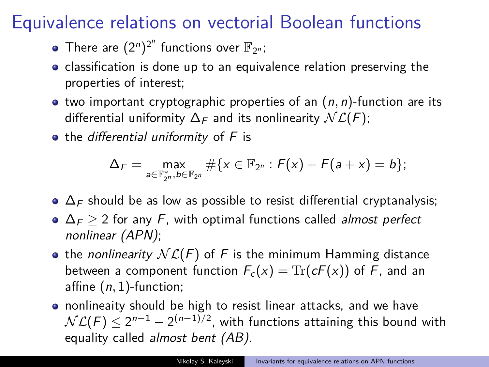#### Equivalence relations on vectorial Boolean functions

- There are  $(2^n)^{2^n}$  functions over  $\mathbb{F}_{2^n}$ ;
- classification is done up to an equivalence relation preserving the properties of interest;
- $\bullet$  two important cryptographic properties of an  $(n, n)$ -function are its differential uniformity  $\Delta_F$  and its nonlinearity  $\mathcal{NL}(F)$ ;
- $\bullet$  the differential uniformity of  $F$  is

$$
\Delta_F = \max_{a \in \mathbb{F}_{2^n}^*, b \in \mathbb{F}_{2^n}} \# \{x \in \mathbb{F}_{2^n} : F(x) + F(a+x) = b\};
$$

- $\bullet$   $\Delta_F$  should be as low as possible to resist differential cryptanalysis;
- $\Delta_F$  > 2 for any F, with optimal functions called *almost perfect* nonlinear (APN);
- the nonlinearity  $N\mathcal{L}(F)$  of F is the minimum Hamming distance between a component function  $F_c(x) = \text{Tr}(cF(x))$  of F, and an affine (n*,* 1)-function;
- nonlineaity should be high to resist linear attacks, and we have  $\mathcal{NL}(F)\leq 2^{n-1}-2^{(n-1)/2},$  with functions attaining this bound with equality called *almost bent (AB)*.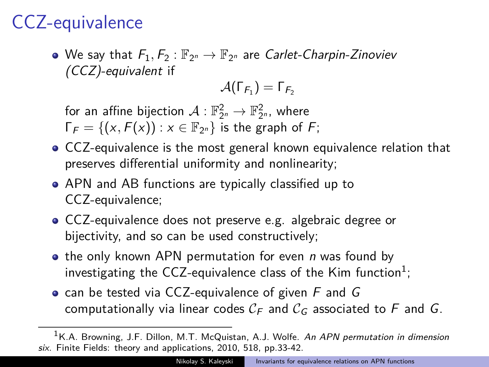## CCZ-equivalence

We say that  $F_1, F_2 : \mathbb{F}_{2^n} \to \mathbb{F}_{2^n}$  are *Carlet-Charpin-Zinoviev* (CCZ)-equivalent if

$$
\mathcal{A}(\Gamma_{\mathsf{F}_1})=\Gamma_{\mathsf{F}_2}
$$

for an affine bijection  $\mathcal{A}:\mathbb{F}_{2^n}^2\rightarrow\mathbb{F}_{2^n}^2$ , where  $\Gamma_F = \{(x, F(x)) : x \in \mathbb{F}_{2^n}\}$  is the graph of F;

- CCZ-equivalence is the most general known equivalence relation that preserves differential uniformity and nonlinearity;
- APN and AB functions are typically classified up to CCZ-equivalence;
- CCZ-equivalence does not preserve e.g. algebraic degree or bijectivity, and so can be used constructively;
- $\bullet$  the only known APN permutation for even *n* was found by investigating the CCZ-equivalence class of the Kim function<sup>1</sup>;
- can be tested via CCZ-equivalence of given  $F$  and  $G$ computationally via linear codes  $C_F$  and  $C_G$  associated to F and G.

 $<sup>1</sup>$ K.A. Browning. J.F. Dillon, M.T. McQuistan, A.J. Wolfe. An APN permutation in dimension</sup> six. Finite Fields: theory and applications, 2010, 518, pp.33-42.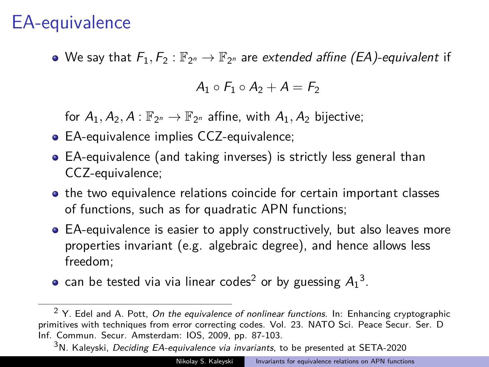#### EA-equivalence

We say that  $F_1, F_2 : \mathbb{F}_{2^n} \to \mathbb{F}_{2^n}$  are *extended affine (EA)-equivalent* if

 $A_1 \circ F_1 \circ A_2 + A = F_2$ 

for  $A_1, A_2, A : \mathbb{F}_{2^n} \to \mathbb{F}_{2^n}$  affine, with  $A_1, A_2$  bijective;

- EA-equivalence implies CCZ-equivalence;
- EA-equivalence (and taking inverses) is strictly less general than CCZ-equivalence;
- the two equivalence relations coincide for certain important classes of functions, such as for quadratic APN functions;
- EA-equivalence is easier to apply constructively, but also leaves more properties invariant (e.g. algebraic degree), and hence allows less freedom;
- can be tested via via linear codes<sup>2</sup> or by guessing  $A_1^3$ .

<sup>3</sup>N. Kaleyski, Deciding EA-equivalence via invariants, to be presented at SETA-2020

 $2$  Y. Edel and A. Pott, On the equivalence of nonlinear functions. In: Enhancing cryptographic primitives with techniques from error correcting codes. Vol. 23. NATO Sci. Peace Secur. Ser. D Inf. Commun. Secur. Amsterdam: IOS, 2009, pp. 87-103.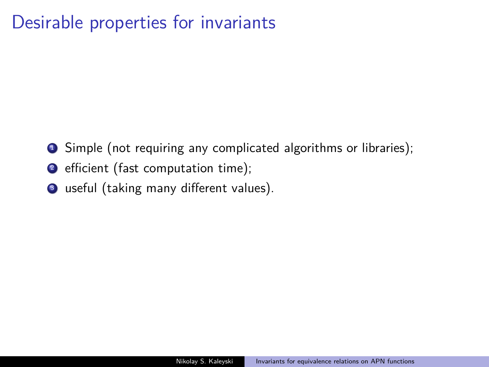#### Desirable properties for invariants

- **1** Simple (not requiring any complicated algorithms or libraries);
- <sup>2</sup> efficient (fast computation time);
- <sup>3</sup> useful (taking many different values).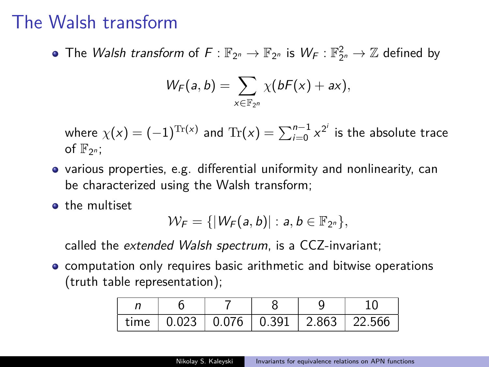#### The Walsh transform

The *Walsh transform* of  $F: \mathbb{F}_{2^n} \to \mathbb{F}_{2^n}$  is  $W_F: \mathbb{F}_{2^n}^2 \to \mathbb{Z}$  defined by

$$
W_F(a,b)=\sum_{x\in\mathbb{F}_{2^n}}\chi(bF(x)+ax),
$$

where  $\chi(x) = (-1)^{\text{Tr}(x)}$  and  $\text{Tr}(x) = \sum_{i=0}^{n-1} x^{2^i}$  is the absolute trace of  $\mathbb{F}_{2^n}$ ;

- $\bullet$  various properties, e.g. differential uniformity and nonlinearity, can be characterized using the Walsh transform;
- **o** the multiset

$$
\mathcal{W}_F=\{|W_F(a,b)|:a,b\in\mathbb{F}_{2^n}\},\
$$

called the extended Walsh spectrum, is a CCZ-invariant;

**•** computation only requires basic arithmetic and bitwise operations (truth table representation);

| time |  | $0.023$   0.076   0.391   2.863   22.566 |  |
|------|--|------------------------------------------|--|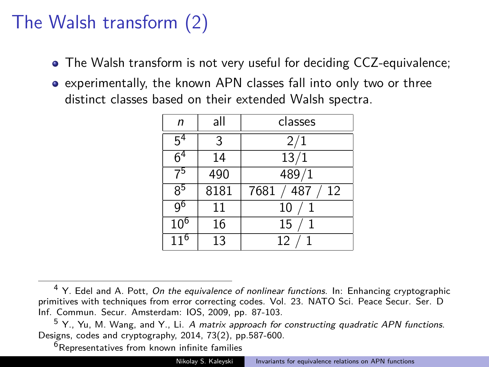# The Walsh transform (2)

- The Walsh transform is not very useful for deciding CCZ-equivalence;
- experimentally, the known APN classes fall into only two or three distinct classes based on their extended Walsh spectra.

| n               | all  | classes           |
|-----------------|------|-------------------|
| 5 <sup>4</sup>  | 3    | 2/1               |
| 6 <sup>4</sup>  | 14   | 13/1              |
| 75              | 490  | 489/1             |
| $8^5$           | 8181 | 487<br>7681<br>12 |
| 9 <sup>6</sup>  | 11   | 10                |
| 10 <sup>6</sup> | 16   | 15                |
| $11^{6}$        | 13   | 12                |

<sup>6</sup>Representatives from known infinite families

<sup>&</sup>lt;sup>4</sup> Y. Edel and A. Pott, *On the equivalence of nonlinear functions*. In: Enhancing cryptographic primitives with techniques from error correcting codes. Vol. 23. NATO Sci. Peace Secur. Ser. D Inf. Commun. Secur. Amsterdam: IOS, 2009, pp. 87-103.

<sup>5</sup> Y., Yu, M. Wang, and Y., Li. A matrix approach for constructing quadratic APN functions. Designs, codes and cryptography, 2014, 73(2), pp.587-600.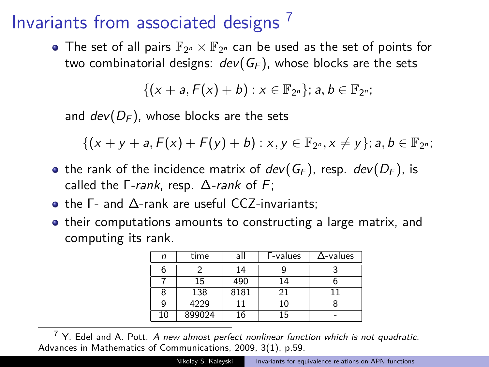#### Invariants from associated designs <sup>7</sup>

The set of all pairs  $\mathbb{F}_{2^n}\times\mathbb{F}_{2^n}$  can be used as the set of points for two combinatorial designs:  $dev(G_F)$ , whose blocks are the sets

 $\{(x + a, F(x) + b) : x \in \mathbb{F}_{2^n}\}; a, b \in \mathbb{F}_{2^n};$ 

and  $dev(D_F)$ , whose blocks are the sets

 $\{(x + y + a, F(x) + F(y) + b) : x, y \in \mathbb{F}_{2^n}, x \neq y\}$ ;  $a, b \in \mathbb{F}_{2^n}$ ;

- the rank of the incidence matrix of  $dev(G_F)$ , resp.  $dev(D_F)$ , is called the  $\Gamma$ -rank, resp.  $\Delta$ -rank of F;
- the Γ- and Δ-rank are useful CCZ-invariants;
- their computations amounts to constructing a large matrix, and computing its rank.

| n  | time   | all  | <b>T-values</b> | $\Delta$ -values |
|----|--------|------|-----------------|------------------|
|    |        | 14   |                 |                  |
|    | 15     | 490  | 14              |                  |
| 8  | 138    | 8181 | 21              |                  |
| g  | 4229   | 11   | 10              |                  |
| 10 | 899024 | 16   | 15              |                  |

 $<sup>7</sup>$  Y. Edel and A. Pott. A new almost perfect nonlinear function which is not quadratic.</sup> Advances in Mathematics of Communications, 2009, 3(1), p.59.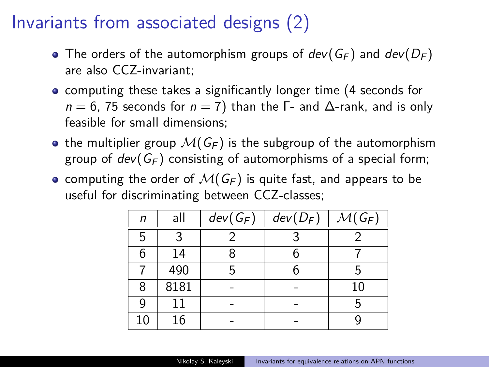### Invariants from associated designs (2)

- The orders of the automorphism groups of  $dev(G_F)$  and  $dev(D_F)$ are also CCZ-invariant;
- computing these takes a significantly longer time (4 seconds for  $n = 6$ , 75 seconds for  $n = 7$ ) than the  $\Gamma$ - and  $\Delta$ -rank, and is only feasible for small dimensions;
- the multiplier group  $\mathcal{M}(G_F)$  is the subgroup of the automorphism group of  $dev(G_F)$  consisting of automorphisms of a special form;
- computing the order of  $\mathcal{M}(G_F)$  is quite fast, and appears to be useful for discriminating between CCZ-classes;

| n  | all  | $dev(G_F)$ | $dev(D_F)$ | $\overline{\mathcal{M}}(G_F)$ |
|----|------|------------|------------|-------------------------------|
| 5  | ર    |            |            |                               |
| 6  | 14   |            |            |                               |
|    | 490  | 5          | 6          | 5                             |
| 8  | 8181 |            |            | 10                            |
| 9  | 11   |            |            | 5                             |
| 10 | 16   |            |            |                               |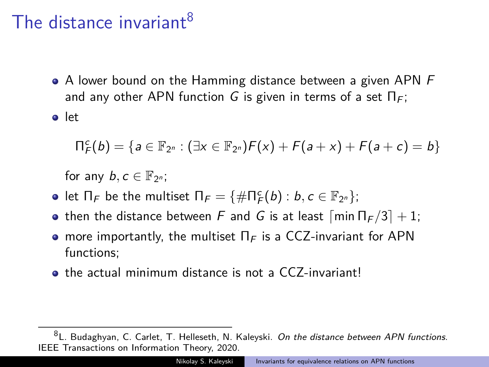#### The distance invariant<sup>8</sup>

• A lower bound on the Hamming distance between a given APN F and any other APN function G is given in terms of a set  $\Pi_F$ ;

o let

$$
\Pi_{F}^{c}(b) = \{ a \in \mathbb{F}_{2^{n}} : (\exists x \in \mathbb{F}_{2^{n}})F(x) + F(a+x) + F(a+c) = b \}
$$

for any  $b, c \in \mathbb{F}_{2^n}$ ;

- let  $\Pi_F$  be the multiset  $\Pi_F = \{ \# \Pi_F^c(b) : b, c \in \mathbb{F}_{2^n} \};$
- then the distance between F and G is at least  $\lceil \min \Pi_F/3 \rceil + 1$ ;
- more importantly, the multiset  $\Pi_F$  is a CCZ-invariant for APN functions;
- **•** the actual minimum distance is not a CCZ-invariant!

<sup>8</sup>L. Budaghyan, C. Carlet, T. Helleseth, N. Kaleyski. On the distance between APN functions. IEEE Transactions on Information Theory, 2020.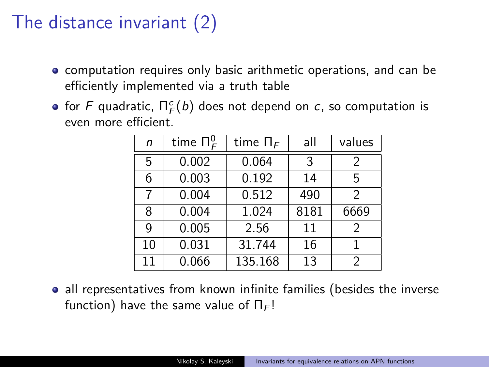## The distance invariant (2)

- **•** computation requires only basic arithmetic operations, and can be efficiently implemented via a truth table
- for  $\digamma$  quadratic,  $\Pi^c_{\mathcal{F}}(b)$  does not depend on  $c$ , so computation is even more efficient.

| n  | time $\Pi_{\mathcal{F}}^0$ | time $\Pi_F$ | all  | values         |
|----|----------------------------|--------------|------|----------------|
| 5  | 0.002                      | 0.064        | 3    | $\mathfrak{D}$ |
| 6  | 0.003                      | 0.192        | 14   | 5              |
| 7  | 0.004                      | 0.512        | 490  | $\mathcal{P}$  |
| 8  | 0.004                      | 1.024        | 8181 | 6669           |
| g  | 0.005                      | 2.56         | 11   | $\mathcal{P}$  |
| 10 | 0.031                      | 31.744       | 16   |                |
| 11 | 0.066                      | 135.168      | 13   | 2              |

• all representatives from known infinite families (besides the inverse function) have the same value of  $\Pi_F!$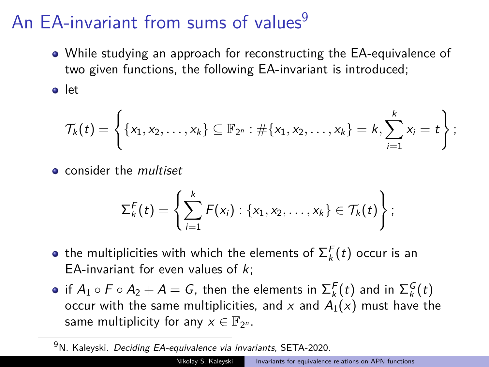## An EA-invariant from sums of values $9$

While studying an approach for reconstructing the EA-equivalence of two given functions, the following EA-invariant is introduced;

• let

$$
\mathcal{T}_{k}(t) = \left\{ \{x_{1}, x_{2}, \ldots, x_{k}\} \subseteq \mathbb{F}_{2^{n}} : \#\{x_{1}, x_{2}, \ldots, x_{k}\} = k, \sum_{i=1}^{k} x_{i} = t \right\};
$$

**e** consider the *multiset* 

$$
\Sigma_k^F(t) = \left\{ \sum_{i=1}^k F(x_i) : \{x_1, x_2, \ldots, x_k\} \in \mathcal{T}_k(t) \right\};
$$

- the multiplicities with which the elements of  $\Sigma_k^F(t)$  occur is an EA-invariant for even values of  $k$ :
- if  $A_1\circ F\circ A_2+A=G$ , then the elements in  ${\Sigma}_k^F(t)$  and in  ${\Sigma}_k^G(t)$ occur with the same multiplicities, and x and  $A_1(x)$  must have the same multiplicity for any  $x \in \mathbb{F}_{2^n}$ .

 $9$ N. Kaleyski. Deciding EA-equivalence via invariants, SETA-2020.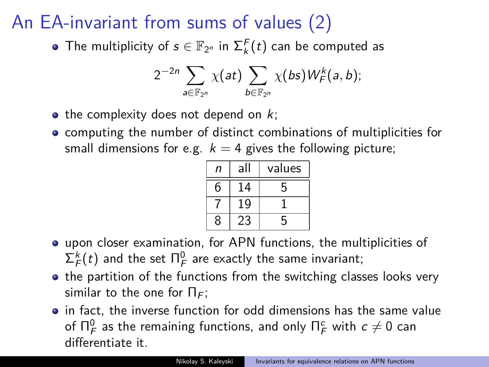# An EA-invariant from sums of values (2)

The multiplicity of  $s \in \mathbb{F}_{2^n}$  in  $\Sigma_k^F(t)$  can be computed as

$$
2^{-2n}\sum_{a\in\mathbb{F}_{2^n}}\chi(at)\sum_{b\in\mathbb{F}_{2^n}}\chi(bs)W^k_F(a,b);
$$

- $\bullet$  the complexity does not depend on  $k$ ;
- computing the number of distinct combinations of multiplicities for small dimensions for e.g.  $k = 4$  gives the following picture;

| n | al | values |
|---|----|--------|
| հ | 14 | 5      |
|   | g  |        |
| ጸ |    | 5      |

- upon closer examination, for APN functions, the multiplicities of  $\Sigma_{\mathcal{F}}^k(t)$  and the set  $\Pi_{\mathcal{F}}^0$  are exactly the same invariant;
- the partition of the functions from the switching classes looks very similar to the one for  $\Pi_F$ ;
- in fact, the inverse function for odd dimensions has the same value of  $\Pi_{\mathcal{F}}^0$  as the remaining functions, and only  $\Pi_{\mathcal{F}}^c$  with  $c\neq 0$  can differentiate it.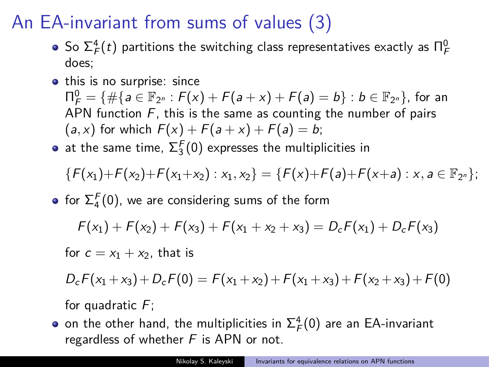# An EA-invariant from sums of values (3)

- So  $\Sigma_f^4(t)$  partitions the switching class representatives exactly as  $\Pi_f^0$ does;
- this is no surprise: since  $\Pi_{\mathsf{F}}^{0} = \{ \#\{ \mathsf{a} \in \mathbb{F}_{2^{n}} : \mathsf{F}(x) + \mathsf{F}(\mathsf{a}+x) + \mathsf{F}(\mathsf{a}) = \mathsf{b} \} : \mathsf{b} \in \mathbb{F}_{2^{n}} \},$  for an APN function  $F$ , this is the same as counting the number of pairs  $(a, x)$  for which  $F(x) + F(a+x) + F(a) = b$ ;
- at the same time,  $\Sigma^F_3(0)$  expresses the multiplicities in

$$
\{F(x_1)+F(x_2)+F(x_1+x_2):x_1,x_2\}=\{F(x)+F(a)+F(x+a):x,a\in\mathbb{F}_{2^n}\};
$$

for  $\Sigma_4^F(0)$ , we are considering sums of the form

$$
F(x_1) + F(x_2) + F(x_3) + F(x_1 + x_2 + x_3) = D_c F(x_1) + D_c F(x_3)
$$

for  $c = x_1 + x_2$ , that is

$$
D_cF(x_1+x_3)+D_cF(0)=F(x_1+x_2)+F(x_1+x_3)+F(x_2+x_3)+F(0)
$$

for quadratic  $F$ ;

on the other hand, the multiplicities in  $\Sigma_f^4(0)$  are an EA-invariant regardless of whether  $F$  is APN or not.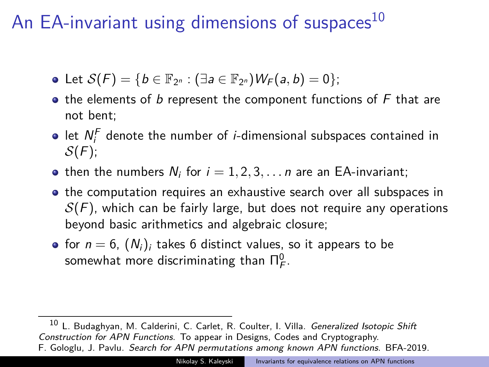## An EA-invariant using dimensions of suspaces<sup>10</sup>

- Let  $S(F) = \{b \in \mathbb{F}_{2^n} : (\exists a \in \mathbb{F}_{2^n}) W_F(a, b) = 0\};$
- $\bullet$  the elements of b represent the component functions of  $F$  that are not bent;
- let  $N_i^F$  denote the number of *i*-dimensional subspaces contained in  $S(F)$ ;
- then the numbers  $N_i$  for  $i = 1, 2, 3, \ldots n$  are an EA-invariant;
- the computation requires an exhaustive search over all subspaces in  $S(F)$ , which can be fairly large, but does not require any operations beyond basic arithmetics and algebraic closure;
- for  $n = 6$ ,  $(N_i)_i$  takes 6 distinct values, so it appears to be somewhat more discriminating than  $\Pi^0_{\digamma}$ .

<sup>10</sup> L. Budaghyan, M. Calderini, C. Carlet, R. Coulter, I. Villa. Generalized Isotopic Shift Construction for APN Functions. To appear in Designs, Codes and Cryptography. F. Gologlu, J. Pavlu. Search for APN permutations among known APN functions. BFA-2019.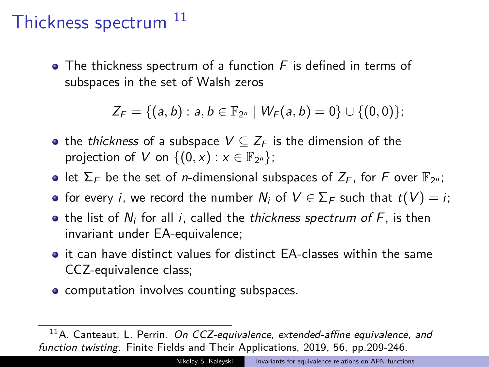#### Thickness spectrum<sup>11</sup>

 $\bullet$  The thickness spectrum of a function F is defined in terms of subspaces in the set of Walsh zeros

 $Z_F = \{(a, b) : a, b \in \mathbb{F}_{2^n} \mid W_F(a, b) = 0\} \cup \{(0, 0)\};$ 

- the *thickness* of a subspace  $V \subseteq Z_F$  is the dimension of the projection of V on  $\{(0, x) : x \in \mathbb{F}_{2^n}\};$
- let  $\Sigma_F$  be the set of *n*-dimensional subspaces of  $Z_F$ , for F over  $\mathbb{F}_{2^n}$ ;
- for every *i*, we record the number  $N_i$  of  $V \in \Sigma_F$  such that  $t(V) = i$ ;
- $\bullet$  the list of  $N_i$  for all i, called the thickness spectrum of  $F$ , is then invariant under EA-equivalence;
- **•** it can have distinct values for distinct EA-classes within the same CCZ-equivalence class;
- computation involves counting subspaces.

 $11A$ . Canteaut, L. Perrin. On CCZ-equivalence, extended-affine equivalence, and function twisting. Finite Fields and Their Applications, 2019, 56, pp.209-246.